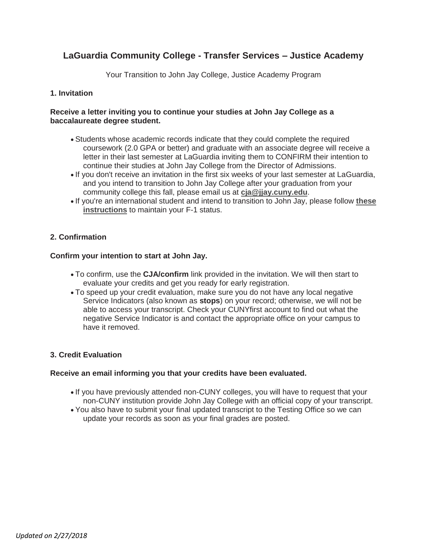# **LaGuardia Community College - Transfer Services – Justice Academy**

Your Transition to John Jay College, Justice Academy Program

## **1. Invitation**

## **Receive a letter inviting you to continue your studies at John Jay College as a baccalaureate degree student.**

- Students whose academic records indicate that they could complete the required coursework (2.0 GPA or better) and graduate with an associate degree will receive a letter in their last semester at LaGuardia inviting them to CONFIRM their intention to continue their studies at John Jay College from the Director of Admissions.
- . If you don't receive an invitation in the first six weeks of your last semester at LaGuardia, and you intend to transition to John Jay College after your graduation from your community college this fall, please email us at **[cja@jjay.cuny.edu](mailto:cja@jjay.cuny.edu)**.
- If you're an international student and intend to transition to John Jay, please follow **[these](http://www.jjay.cuny.edu/sites/default/files/contentgroups/sasp/CJAF-1Student.pdf)  [instructions](http://www.jjay.cuny.edu/sites/default/files/contentgroups/sasp/CJAF-1Student.pdf)** to maintain your F-1 status.

# **2. Confirmation**

## **Confirm your intention to start at John Jay.**

- To confirm, use the **CJA/confirm** link provided in the invitation. We will then start to evaluate your credits and get you ready for early registration.
- To speed up your credit evaluation, make sure you do not have any local negative Service Indicators (also known as **stops**) on your record; otherwise, we will not be able to access your transcript. Check your CUNYfirst account to find out what the negative Service Indicator is and contact the appropriate office on your campus to have it removed.

## **3. Credit Evaluation**

## **Receive an email informing you that your credits have been evaluated.**

- . If you have previously attended non-CUNY colleges, you will have to request that your non-CUNY institution provide John Jay College with an official copy of your transcript.
- You also have to submit your final updated transcript to the Testing Office so we can update your records as soon as your final grades are posted.